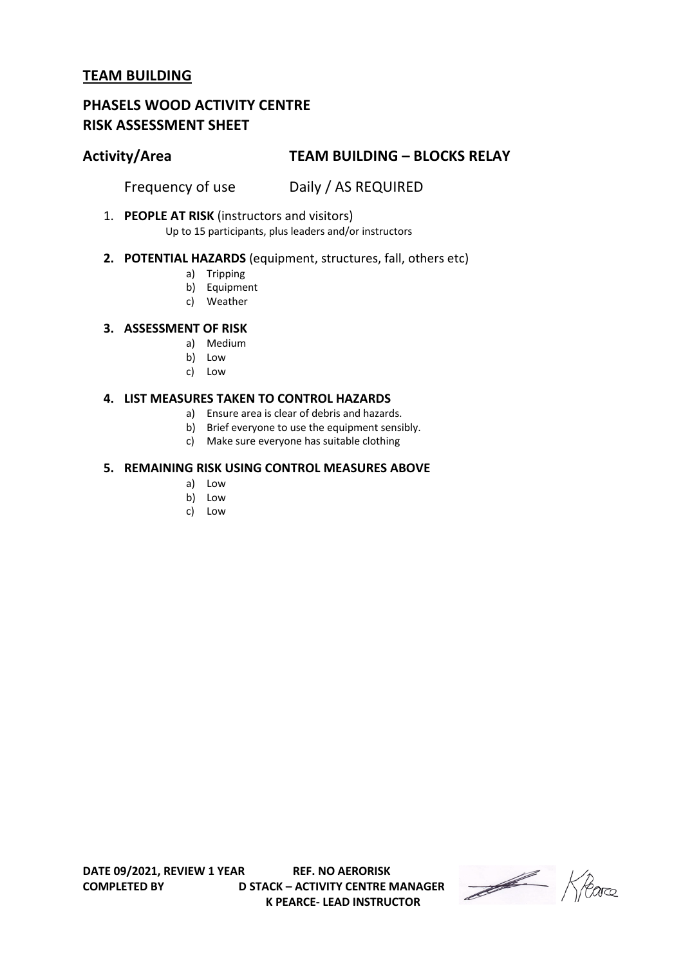# **PHASELS WOOD ACTIVITY CENTRE RISK ASSESSMENT SHEET**

# **Activity/Area TEAM BUILDING – BLOCKS RELAY**

Frequency of use Daily / AS REQUIRED

1. **PEOPLE AT RISK** (instructors and visitors)

Up to 15 participants, plus leaders and/or instructors

## **2. POTENTIAL HAZARDS** (equipment, structures, fall, others etc)

- a) Tripping
- b) Equipment
- c) Weather

### **3. ASSESSMENT OF RISK**

- a) Medium
- b) Low
- c) Low

#### **4. LIST MEASURES TAKEN TO CONTROL HAZARDS**

- a) Ensure area is clear of debris and hazards.
- b) Brief everyone to use the equipment sensibly.
- c) Make sure everyone has suitable clothing

### **5. REMAINING RISK USING CONTROL MEASURES ABOVE**

- a) Low
- b) Low
- c) Low

Heare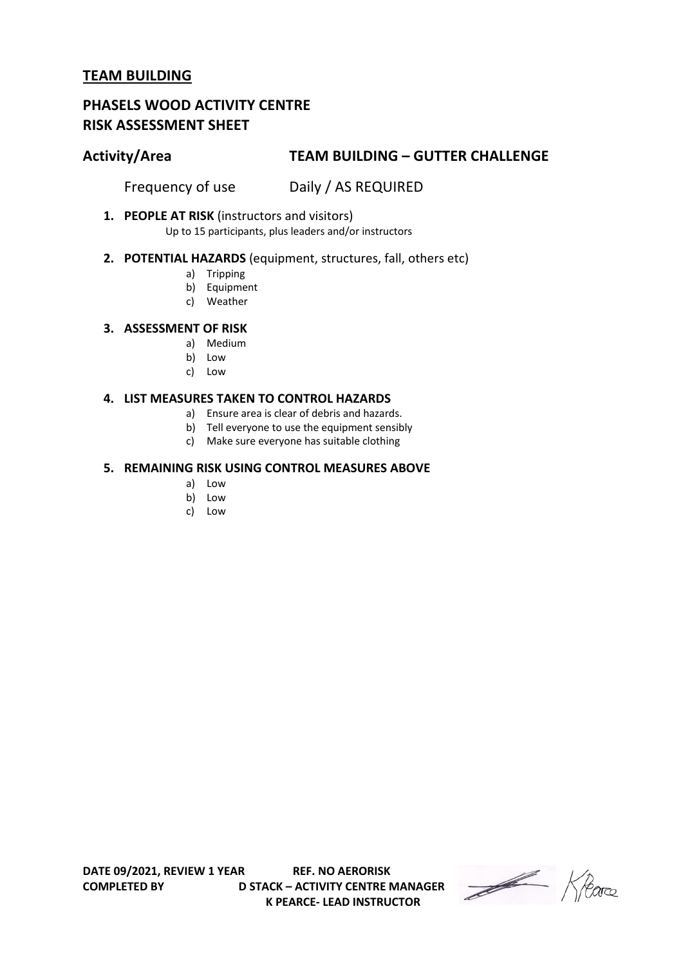# **PHASELS WOOD ACTIVITY CENTRE RISK ASSESSMENT SHEET**

# **Activity/Area TEAM BUILDING – GUTTER CHALLENGE**

Frequency of use Daily / AS REQUIRED

**1. PEOPLE AT RISK** (instructors and visitors)

Up to 15 participants, plus leaders and/or instructors

## **2. POTENTIAL HAZARDS** (equipment, structures, fall, others etc)

- a) Tripping
- b) Equipment
- c) Weather

### **3. ASSESSMENT OF RISK**

- a) Medium
- b) Low
- c) Low

#### **4. LIST MEASURES TAKEN TO CONTROL HAZARDS**

- a) Ensure area is clear of debris and hazards.
- b) Tell everyone to use the equipment sensibly
- c) Make sure everyone has suitable clothing

### **5. REMAINING RISK USING CONTROL MEASURES ABOVE**

- a) Low
- b) Low
- c) Low

Heare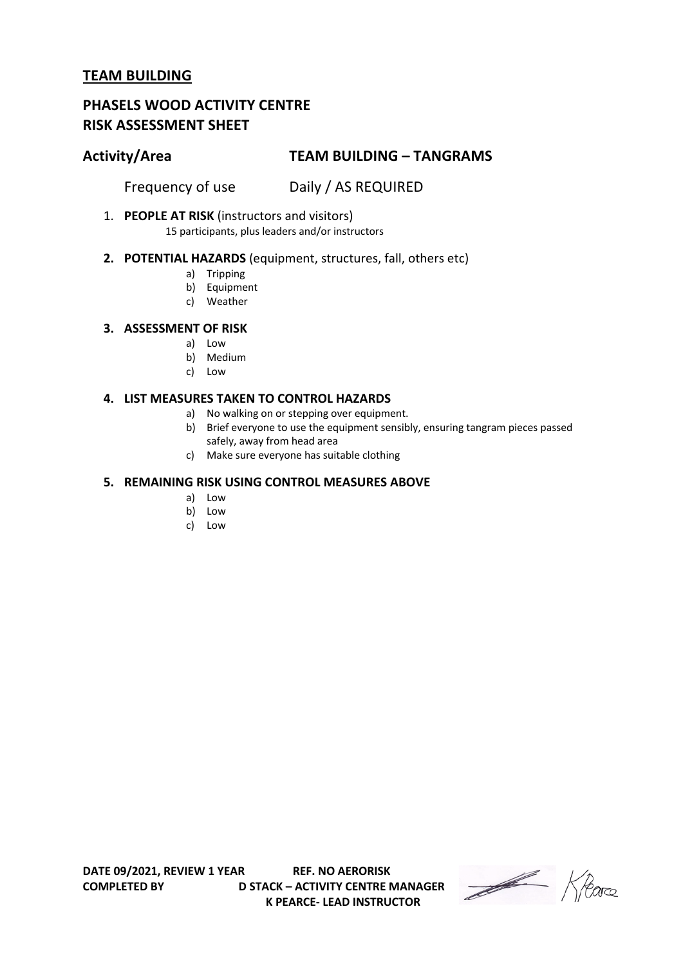# **PHASELS WOOD ACTIVITY CENTRE RISK ASSESSMENT SHEET**

# **Activity/Area TEAM BUILDING – TANGRAMS**

Frequency of use Daily / AS REQUIRED

1. **PEOPLE AT RISK** (instructors and visitors)

15 participants, plus leaders and/or instructors

## **2. POTENTIAL HAZARDS** (equipment, structures, fall, others etc)

- a) Tripping
- b) Equipment
- c) Weather

### **3. ASSESSMENT OF RISK**

- a) Low
- b) Medium
- c) Low

### **4. LIST MEASURES TAKEN TO CONTROL HAZARDS**

- a) No walking on or stepping over equipment.
- b) Brief everyone to use the equipment sensibly, ensuring tangram pieces passed safely, away from head area
- c) Make sure everyone has suitable clothing

## **5. REMAINING RISK USING CONTROL MEASURES ABOVE**

- a) Low
- b) Low
- c) Low

**K PEARCE- LEAD INSTRUCTOR** 

Heare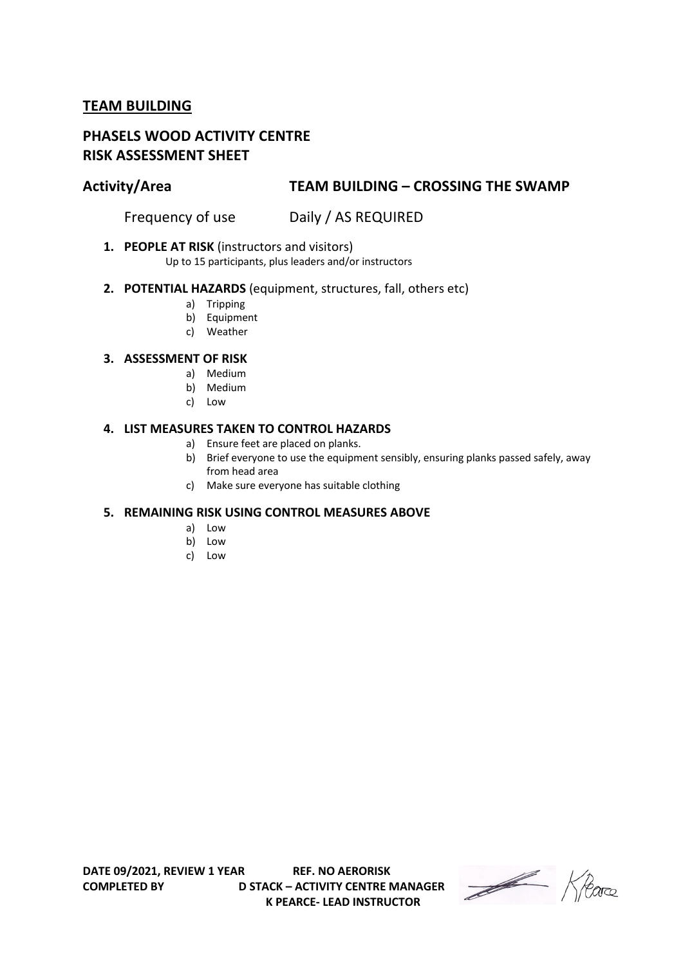# **PHASELS WOOD ACTIVITY CENTRE RISK ASSESSMENT SHEET**

## **Activity/Area TEAM BUILDING – CROSSING THE SWAMP**

Frequency of use Daily / AS REQUIRED

### **1. PEOPLE AT RISK** (instructors and visitors)

Up to 15 participants, plus leaders and/or instructors

### **2. POTENTIAL HAZARDS** (equipment, structures, fall, others etc)

- a) Tripping
- b) Equipment
- c) Weather

## **3. ASSESSMENT OF RISK**

- a) Medium
- b) Medium
- c) Low

#### **4. LIST MEASURES TAKEN TO CONTROL HAZARDS**

- a) Ensure feet are placed on planks.
- b) Brief everyone to use the equipment sensibly, ensuring planks passed safely, away from head area
- c) Make sure everyone has suitable clothing

### **5. REMAINING RISK USING CONTROL MEASURES ABOVE**

- a) Low
- b) Low
- c) Low

Heave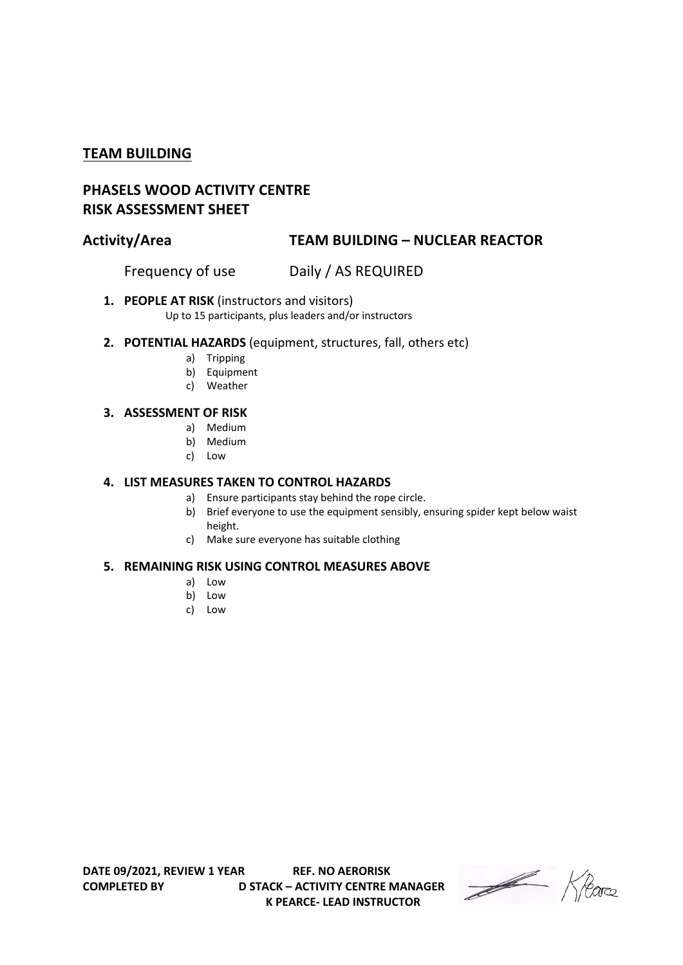# **PHASELS WOOD ACTIVITY CENTRE RISK ASSESSMENT SHEET**

# **Activity/Area TEAM BUILDING – NUCLEAR REACTOR**

Frequency of use Daily / AS REQUIRED

## **1. PEOPLE AT RISK** (instructors and visitors)

Up to 15 participants, plus leaders and/or instructors

- **2. POTENTIAL HAZARDS** (equipment, structures, fall, others etc)
	- a) Tripping
	- b) Equipment
	- c) Weather

### **3. ASSESSMENT OF RISK**

- a) Medium
- b) Medium
- c) Low

### **4. LIST MEASURES TAKEN TO CONTROL HAZARDS**

- a) Ensure participants stay behind the rope circle.
	- b) Brief everyone to use the equipment sensibly, ensuring spider kept below waist height.
	- c) Make sure everyone has suitable clothing

### **5. REMAINING RISK USING CONTROL MEASURES ABOVE**

- a) Low
- b) Low
- c) Low

Heave